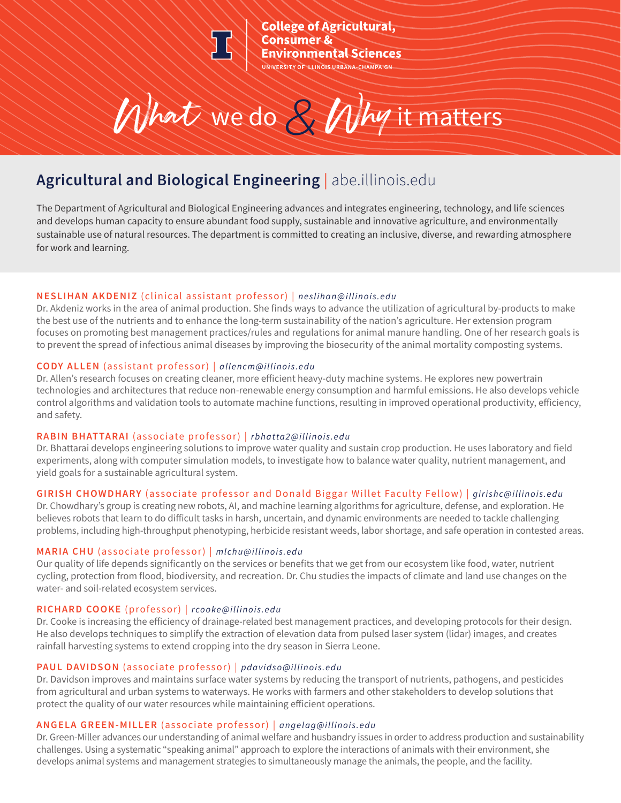

**College of Agricultural,** Consumer & **Invironmental Sciences** 

What we do*&* Whyit matters

# **Agricultural and Biological Engineering** | abe.illinois.edu

The Department of Agricultural and Biological Engineering advances and integrates engineering, technology, and life sciences and develops human capacity to ensure abundant food supply, sustainable and innovative agriculture, and environmentally sustainable use of natural resources. The department is committed to creating an inclusive, diverse, and rewarding atmosphere for work and learning.

# **NESLIHAN AKDENIZ** (clinical assistant professor) | *neslihan@illinois.edu*

Dr. Akdeniz works in the area of animal production. She finds ways to advance the utilization of agricultural by-products to make the best use of the nutrients and to enhance the long-term sustainability of the nation's agriculture. Her extension program focuses on promoting best management practices/rules and regulations for animal manure handling. One of her research goals is to prevent the spread of infectious animal diseases by improving the biosecurity of the animal mortality composting systems.

# **CODY ALLEN** (assistant professor) | *allencm@illinois.edu*

Dr. Allen's research focuses on creating cleaner, more efficient heavy-duty machine systems. He explores new powertrain technologies and architectures that reduce non-renewable energy consumption and harmful emissions. He also develops vehicle control algorithms and validation tools to automate machine functions, resulting in improved operational productivity, efficiency, and safety.

# **RABIN BHATTARAI** (associate professor) | *rbhatta2@illinois.edu*

Dr. Bhattarai develops engineering solutions to improve water quality and sustain crop production. He uses laboratory and field experiments, along with computer simulation models, to investigate how to balance water quality, nutrient management, and yield goals for a sustainable agricultural system.

# **GIRISH CHOWDHARY** (associate professor and Donald Biggar Willet Faculty Fellow) | *girishc@illinois.edu*

Dr. Chowdhary's group is creating new robots, AI, and machine learning algorithms for agriculture, defense, and exploration. He believes robots that learn to do difficult tasks in harsh, uncertain, and dynamic environments are needed to tackle challenging problems, including high-throughput phenotyping, herbicide resistant weeds, labor shortage, and safe operation in contested areas.

# **MARIA CHU** (associate professor) | *mlchu@illinois.edu*

Our quality of life depends significantly on the services or benefits that we get from our ecosystem like food, water, nutrient cycling, protection from flood, biodiversity, and recreation. Dr. Chu studies the impacts of climate and land use changes on the water- and soil-related ecosystem services.

# **RICHARD COOKE** (professor) | *rcooke@illinois.edu*

Dr. Cooke is increasing the efficiency of drainage-related best management practices, and developing protocols for their design. He also develops techniques to simplify the extraction of elevation data from pulsed laser system (lidar) images, and creates rainfall harvesting systems to extend cropping into the dry season in Sierra Leone.

# **PAUL DAVIDSON** (associate professor) | *pdavidso@illinois.edu*

Dr. Davidson improves and maintains surface water systems by reducing the transport of nutrients, pathogens, and pesticides from agricultural and urban systems to waterways. He works with farmers and other stakeholders to develop solutions that protect the quality of our water resources while maintaining efficient operations.

# **ANGELA GREEN-MILLER** (associate professor) | *angelag@illinois.edu*

Dr. Green-Miller advances our understanding of animal welfare and husbandry issues in order to address production and sustainability challenges. Using a systematic "speaking animal" approach to explore the interactions of animals with their environment, she develops animal systems and management strategies to simultaneously manage the animals, the people, and the facility.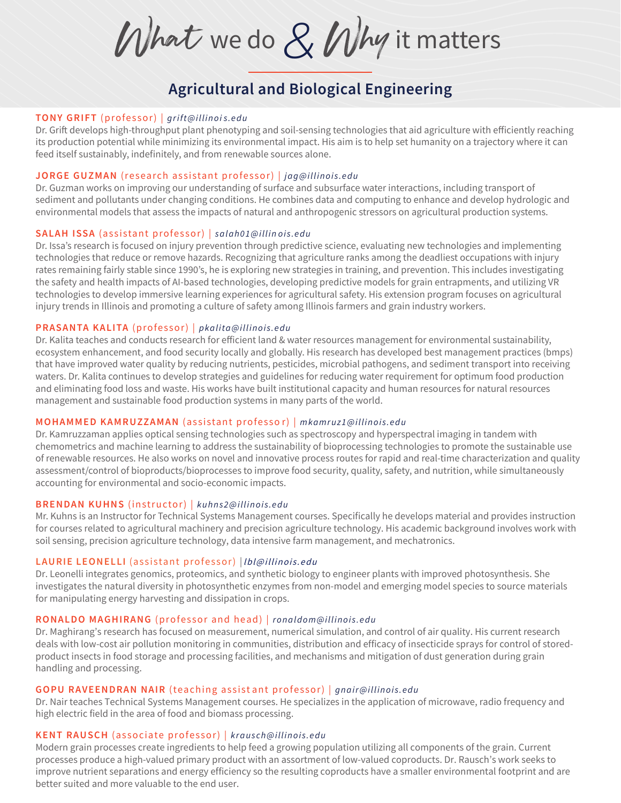What we do*&* Whyit matters

# **Agricultural and Biological Engineering**

## **TONY GRIFT** (professor) | *grift@illinoi s.edu*

Dr. Grift develops high-throughput plant phenotyping and soil-sensing technologies that aid agriculture with efficiently reaching its production potential while minimizing its environmental impact. His aim is to help set humanity on a trajectory where it can feed itself sustainably, indefinitely, and from renewable sources alone.

## **JO RGE GUZMA N** (research assistant professor) | *jag@illinois.edu*

Dr. Guzman works on improving our understanding of surface and subsurface water interactions, including transport of sediment and pollutants under changing conditions. He combines data and computing to enhance and develop hydrologic and environmental models that assess the impacts of natural and anthropogenic stressors on agricultural production systems.

## **S ALAH ISSA** (assistant professor) | *salah01@illin ois.edu*

Dr. Issa's research is focused on injury prevention through predictive science, evaluating new technologies and implementing technologies that reduce or remove hazards. Recognizing that agriculture ranks among the deadliest occupations with injury rates remaining fairly stable since 1990's, he is exploring new strategies in training, and prevention. This includes investigating the safety and health impacts of AI-based technologies, developing predictive models for grain entrapments, and utilizing VR technologies to develop immersive learning experiences for agricultural safety. His extension program focuses on agricultural injury trends in Illinois and promoting a culture of safety among Illinois farmers and grain industry workers.

## **PRASANTA KALI TA** (professor) | *pkalita@illinois.edu*

Dr. Kalita teaches and conducts research for efficient land & water resources management for environmental sustainability, ecosystem enhancement, and food security locally and globally. His research has developed best management practices (bmps) that have improved water quality by reducing nutrients, pesticides, microbial pathogens, and sediment transport into receiving waters. Dr. Kalita continues to develop strategies and guidelines for reducing water requirement for optimum food production and eliminating food loss and waste. His works have built institutional capacity and human resources for natural resources management and sustainable food production systems in many parts of the world.

## **M OHA MMED KAMRUZZAMAN** (assistant professo r ) | *mkamruz1@illinois.edu*

Dr. Kamruzzaman applies optical sensing technologies such as spectroscopy and hyperspectral imaging in tandem with chemometrics and machine learning to address the sustainability of bioprocessing technologies to promote the sustainable use of renewable resources. He also works on novel and innovative process routes for rapid and real-time characterization and quality assessment/control of bioproducts/bioprocesses to improve food security, quality, safety, and nutrition, while simultaneously accounting for environmental and socio-economic impacts.

## **BRENDAN KUHNS** (instructor) | *kuhns2@illinois.edu*

Mr. Kuhns is an Instructor for Technical Systems Management courses. Specifically he develops material and provides instruction for courses related to agricultural machinery and precision agriculture technology. His academic background involves work with soil sensing, precision agriculture technology, data intensive farm management, and mechatronics.

#### LAURIE LEONELLI (assistant professor) | Ibl@illinois.edu

Dr. Leonelli integrates genomics, proteomics, and synthetic biology to engineer plants with improved photosynthesis. She investigates the natural diversity in photosynthetic enzymes from non-model and emerging model species to source materials for manipulating energy harvesting and dissipation in crops.

## **RO NALDO MAGHIRANG** (prof essor and head) | *ronaldom@illinois.edu*

Dr. Maghirang's research has focused on measurement, numerical simulation, and control of air quality. His current research deals with low-cost air pollution monitoring in communities, distribution and efficacy of insecticide sprays for control of storedproduct insects in food storage and processing facilities, and mechanisms and mitigation of dust generation during grain handling and processing.

## **GO PU RAVEENDRAN NAI R** (te aching assist ant professor) | *gnair@illinois.edu*

Dr. Nair teaches Technical Systems Management courses. He specializes in the application of microwave, radio frequency and high electric field in the area of food and biomass processing.

## **KENT RA USCH** (associ ate professor) | *krausch@illinois.edu*

Modern grain processes create ingredients to help feed a growing population utilizing all components of the grain. Current processes produce a high-valued primary product with an assortment of low-valued coproducts. Dr. Rausch's work seeks to improve nutrient separations and energy efficiency so the resulting coproducts have a smaller environmental footprint and are better suited and more valuable to the end user.